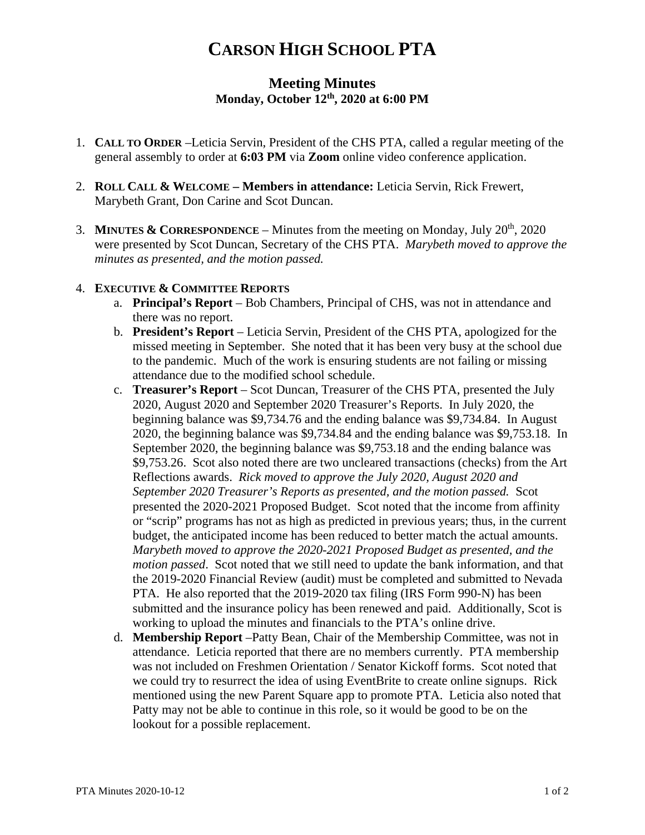# **CARSON HIGH SCHOOL PTA**

# **Meeting Minutes Monday, October 12th, 2020 at 6:00 PM**

- 1. **CALL TO ORDER** –Leticia Servin, President of the CHS PTA, called a regular meeting of the general assembly to order at **6:03 PM** via **Zoom** online video conference application.
- 2. **ROLL CALL & WELCOME – Members in attendance:** Leticia Servin, Rick Frewert, Marybeth Grant, Don Carine and Scot Duncan.
- 3. **MINUTES & CORRESPONDENCE** Minutes from the meeting on Monday, July  $20^{th}$ , 2020 were presented by Scot Duncan, Secretary of the CHS PTA. *Marybeth moved to approve the minutes as presented, and the motion passed.*

#### 4. **EXECUTIVE & COMMITTEE REPORTS**

- a. **Principal's Report** Bob Chambers, Principal of CHS, was not in attendance and there was no report.
- b. **President's Report** Leticia Servin, President of the CHS PTA, apologized for the missed meeting in September. She noted that it has been very busy at the school due to the pandemic. Much of the work is ensuring students are not failing or missing attendance due to the modified school schedule.
- c. **Treasurer's Report** Scot Duncan, Treasurer of the CHS PTA, presented the July 2020, August 2020 and September 2020 Treasurer's Reports. In July 2020, the beginning balance was \$9,734.76 and the ending balance was \$9,734.84. In August 2020, the beginning balance was \$9,734.84 and the ending balance was \$9,753.18. In September 2020, the beginning balance was \$9,753.18 and the ending balance was \$9,753.26. Scot also noted there are two uncleared transactions (checks) from the Art Reflections awards. *Rick moved to approve the July 2020, August 2020 and September 2020 Treasurer's Reports as presented, and the motion passed.* Scot presented the 2020-2021 Proposed Budget. Scot noted that the income from affinity or "scrip" programs has not as high as predicted in previous years; thus, in the current budget, the anticipated income has been reduced to better match the actual amounts. *Marybeth moved to approve the 2020-2021 Proposed Budget as presented, and the motion passed*. Scot noted that we still need to update the bank information, and that the 2019-2020 Financial Review (audit) must be completed and submitted to Nevada PTA. He also reported that the 2019-2020 tax filing (IRS Form 990-N) has been submitted and the insurance policy has been renewed and paid. Additionally, Scot is working to upload the minutes and financials to the PTA's online drive.
- d. **Membership Report** –Patty Bean, Chair of the Membership Committee, was not in attendance. Leticia reported that there are no members currently. PTA membership was not included on Freshmen Orientation / Senator Kickoff forms. Scot noted that we could try to resurrect the idea of using EventBrite to create online signups. Rick mentioned using the new Parent Square app to promote PTA. Leticia also noted that Patty may not be able to continue in this role, so it would be good to be on the lookout for a possible replacement.